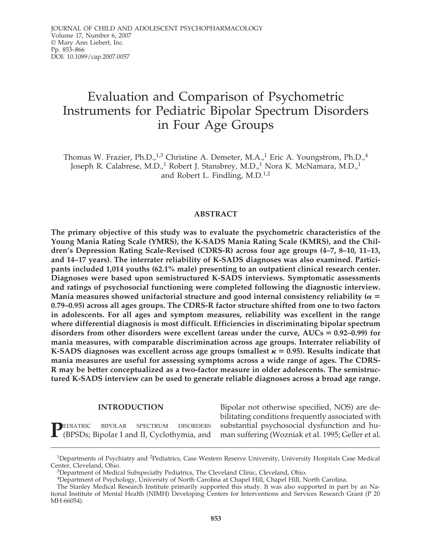# Evaluation and Comparison of Psychometric Instruments for Pediatric Bipolar Spectrum Disorders in Four Age Groups

Thomas W. Frazier, Ph.D.,<sup>1,3</sup> Christine A. Demeter, M.A.,<sup>1</sup> Eric A. Youngstrom, Ph.D.,<sup>4</sup> Joseph R. Calabrese, M.D.,<sup>1</sup> Robert J. Stansbrey, M.D.,<sup>1</sup> Nora K. McNamara, M.D.,<sup>1</sup> and Robert L. Findling,  $M.D.<sup>1,2</sup>$ 

# **ABSTRACT**

**The primary objective of this study was to evaluate the psychometric characteristics of the Young Mania Rating Scale (YMRS), the K-SADS Mania Rating Scale (KMRS), and the Children's Depression Rating Scale-Revised (CDRS-R) across four age groups (4–7, 8–10, 11–13, and 14–17 years). The interrater reliability of K-SADS diagnoses was also examined. Participants included 1,014 youths (62.1% male) presenting to an outpatient clinical research center. Diagnoses were based upon semistructured K-SADS interviews. Symptomatic assessments and ratings of psychosocial functioning were completed following the diagnostic interview.** Mania measures showed unifactorial structure and good internal consistency reliability ( $\alpha =$ **0.79–0.95) across all ages groups. The CDRS-R factor structure shifted from one to two factors in adolescents. For all ages and symptom measures, reliability was excellent in the range where differential diagnosis is most difficult. Efficiencies in discriminating bipolar spectrum** disorders from other disorders were excellent (areas under the curve, AUCs = 0.92–0.99) for **mania measures, with comparable discrimination across age groups. Interrater reliability of** K-SADS diagnoses was excellent across age groups (smallest  $\kappa$  = 0.95). Results indicate that **mania measures are useful for assessing symptoms across a wide range of ages. The CDRS-R may be better conceptualized as a two-factor measure in older adolescents. The semistructured K-SADS interview can be used to generate reliable diagnoses across a broad age range.**

# **INTRODUCTION**

**PEDIATRIC BIPOLAR SPECTRUM DISORDERS**<br>
(BPSDs; Bipolar I and II, Cyclothymia, and

Bipolar not otherwise specified, NOS) are debilitating conditions frequently associated with substantial psychosocial dysfunction and human suffering (Wozniak et al. 1995; Geller et al.

<sup>&</sup>lt;sup>1</sup>Departments of Psychiatry and <sup>2</sup>Pediatrics, Case Western Reserve University, University Hospitals Case Medical Center, Cleveland, Ohio.<br><sup>3</sup>Department of Medical Subspecialty Pediatrics, The Cleveland Clinic, Cleveland, Ohio.

<sup>4</sup>Department of Psychology, University of North Carolina at Chapel Hill, Chapel Hill, North Carolina.

The Stanley Medical Research Institute primarily supported this study. It was also supported in part by an National Institute of Mental Health (NIMH) Developing Centers for Interventions and Services Research Grant (P 20 MH-66054).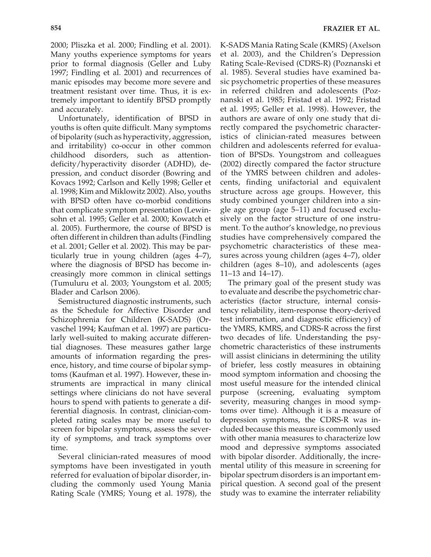2000; Pliszka et al. 2000; Findling et al. 2001). Many youths experience symptoms for years prior to formal diagnosis (Geller and Luby 1997; Findling et al. 2001) and recurrences of manic episodes may become more severe and treatment resistant over time. Thus, it is extremely important to identify BPSD promptly and accurately.

Unfortunately, identification of BPSD in youths is often quite difficult. Many symptoms of bipolarity (such as hyperactivity, aggression, and irritability) co-occur in other common childhood disorders, such as attentiondeficity/hyperactivity disorder (ADHD), depression, and conduct disorder (Bowring and Kovacs 1992; Carlson and Kelly 1998; Geller et al. 1998; Kim and Miklowitz 2002). Also, youths with BPSD often have co-morbid conditions that complicate symptom presentation (Lewinsohn et al. 1995; Geller et al. 2000; Kowatch et al. 2005). Furthermore, the course of BPSD is often different in children than adults (Findling et al. 2001; Geller et al. 2002). This may be particularly true in young children (ages 4–7), where the diagnosis of BPSD has become increasingly more common in clinical settings (Tumuluru et al. 2003; Youngstom et al. 2005; Blader and Carlson 2006).

Semistructured diagnostic instruments, such as the Schedule for Affective Disorder and Schizophrenia for Children (K-SADS) (Orvaschel 1994; Kaufman et al. 1997) are particularly well-suited to making accurate differential diagnoses. These measures gather large amounts of information regarding the presence, history, and time course of bipolar symptoms (Kaufman et al. 1997). However, these instruments are impractical in many clinical settings where clinicians do not have several hours to spend with patients to generate a differential diagnosis. In contrast, clinician-completed rating scales may be more useful to screen for bipolar symptoms, assess the severity of symptoms, and track symptoms over time.

Several clinician-rated measures of mood symptoms have been investigated in youth referred for evaluation of bipolar disorder, including the commonly used Young Mania Rating Scale (YMRS; Young et al. 1978), the K-SADS Mania Rating Scale (KMRS) (Axelson et al. 2003), and the Children's Depression Rating Scale-Revised (CDRS-R) (Poznanski et al. 1985). Several studies have examined basic psychometric properties of these measures in referred children and adolescents (Poznanski et al. 1985; Fristad et al. 1992; Fristad et al. 1995; Geller et al. 1998). However, the authors are aware of only one study that directly compared the psychometric characteristics of clinician-rated measures between children and adolescents referred for evaluation of BPSDs. Youngstrom and colleagues (2002) directly compared the factor structure of the YMRS between children and adolescents, finding unifactorial and equivalent structure across age groups. However, this study combined younger children into a single age group (age 5–11) and focused exclusively on the factor structure of one instrument. To the author's knowledge, no previous studies have comprehensively compared the psychometric characteristics of these measures across young children (ages 4–7), older children (ages 8–10), and adolescents (ages 11–13 and 14–17).

The primary goal of the present study was to evaluate and describe the psychometric characteristics (factor structure, internal consistency reliability, item-response theory-derived test information, and diagnostic efficiency) of the YMRS, KMRS, and CDRS-R across the first two decades of life. Understanding the psychometric characteristics of these instruments will assist clinicians in determining the utility of briefer, less costly measures in obtaining mood symptom information and choosing the most useful measure for the intended clinical purpose (screening, evaluating symptom severity, measuring changes in mood symptoms over time). Although it is a measure of depression symptoms, the CDRS-R was included because this measure is commonly used with other mania measures to characterize low mood and depressive symptoms associated with bipolar disorder. Additionally, the incremental utility of this measure in screening for bipolar spectrum disorders is an important empirical question. A second goal of the present study was to examine the interrater reliability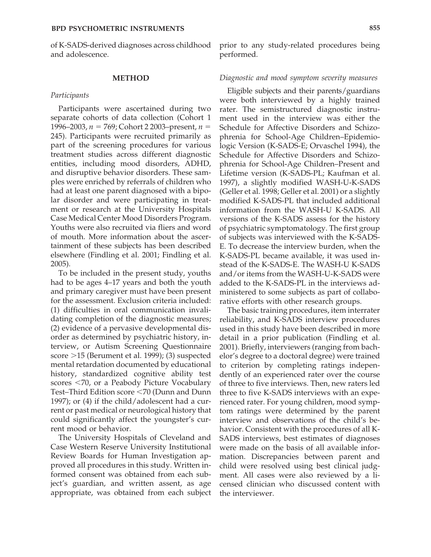of K-SADS-derived diagnoses across childhood and adolescence.

## **METHOD**

## *Participants*

Participants were ascertained during two separate cohorts of data collection (Cohort 1 1996–2003, *n* - 769; Cohort 2 2003–present, *n* - 245). Participants were recruited primarily as part of the screening procedures for various treatment studies across different diagnostic entities, including mood disorders, ADHD, and disruptive behavior disorders. These samples were enriched by referrals of children who had at least one parent diagnosed with a bipolar disorder and were participating in treatment or research at the University Hospitals Case Medical Center Mood Disorders Program. Youths were also recruited via fliers and word of mouth. More information about the ascertainment of these subjects has been described elsewhere (Findling et al. 2001; Findling et al. 2005).

To be included in the present study, youths had to be ages 4–17 years and both the youth and primary caregiver must have been present for the assessment. Exclusion criteria included: (1) difficulties in oral communication invalidating completion of the diagnostic measures; (2) evidence of a pervasive developmental disorder as determined by psychiatric history, interview, or Autism Screening Questionnaire score  $>15$  (Berument et al. 1999); (3) suspected mental retardation documented by educational history, standardized cognitive ability test scores <70, or a Peabody Picture Vocabulary Test–Third Edition score  $\leq 70$  (Dunn and Dunn 1997); or (4) if the child/adolescent had a current or past medical or neurological history that could significantly affect the youngster's current mood or behavior.

The University Hospitals of Cleveland and Case Western Reserve University Institutional Review Boards for Human Investigation approved all procedures in this study. Written informed consent was obtained from each subject's guardian, and written assent, as age appropriate, was obtained from each subject prior to any study-related procedures being performed.

#### *Diagnostic and mood symptom severity measures*

Eligible subjects and their parents/guardians were both interviewed by a highly trained rater. The semistructured diagnostic instrument used in the interview was either the Schedule for Affective Disorders and Schizophrenia for School-Age Children–Epidemiologic Version (K-SADS-E; Orvaschel 1994), the Schedule for Affective Disorders and Schizophrenia for School-Age Children–Present and Lifetime version (K-SADS-PL; Kaufman et al. 1997), a slightly modified WASH-U-K-SADS (Geller et al. 1998; Geller et al. 2001) or a slightly modified K-SADS-PL that included additional information from the WASH-U K-SADS. All versions of the K-SADS assess for the history of psychiatric symptomatology. The first group of subjects was interviewed with the K-SADS-E. To decrease the interview burden, when the K-SADS-PL became available, it was used instead of the K-SADS-E. The WASH-U K-SADS and/or items from the WASH-U-K-SADS were added to the K-SADS-PL in the interviews administered to some subjects as part of collaborative efforts with other research groups.

The basic training procedures, item interrater reliability, and K-SADS interview procedures used in this study have been described in more detail in a prior publication (Findling et al. 2001). Briefly, interviewers (ranging from bachelor's degree to a doctoral degree) were trained to criterion by completing ratings independently of an experienced rater over the course of three to five interviews. Then, new raters led three to five K-SADS interviews with an experienced rater. For young children, mood symptom ratings were determined by the parent interview and observations of the child's behavior. Consistent with the procedures of all K-SADS interviews, best estimates of diagnoses were made on the basis of all available information. Discrepancies between parent and child were resolved using best clinical judgment. All cases were also reviewed by a licensed clinician who discussed content with the interviewer.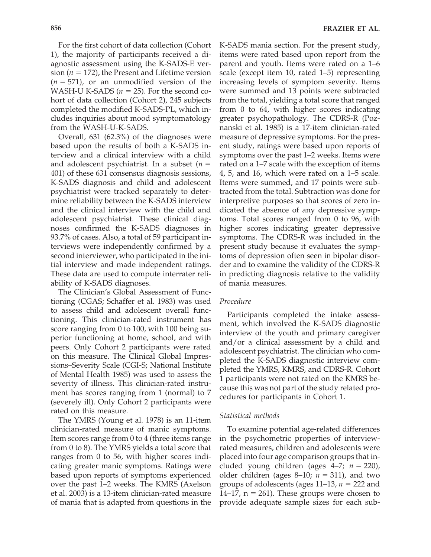For the first cohort of data collection (Cohort 1), the majority of participants received a diagnostic assessment using the K-SADS-E ver- $\sin(n = 172)$ , the Present and Lifetime version  $(n = 571)$ , or an unmodified version of the WASH-U K-SADS  $(n = 25)$ . For the second cohort of data collection (Cohort 2), 245 subjects completed the modified K-SADS-PL, which includes inquiries about mood symptomatology from the WASH-U-K-SADS.

Overall, 631 (62.3%) of the diagnoses were based upon the results of both a K-SADS interview and a clinical interview with a child and adolescent psychiatrist. In a subset  $(n =$ 401) of these 631 consensus diagnosis sessions, K-SADS diagnosis and child and adolescent psychiatrist were tracked separately to determine reliability between the K-SADS interview and the clinical interview with the child and adolescent psychiatrist. These clinical diagnoses confirmed the K-SADS diagnoses in 93.7% of cases. Also, a total of 59 participant interviews were independently confirmed by a second interviewer, who participated in the initial interview and made independent ratings. These data are used to compute interrater reliability of K-SADS diagnoses.

The Clinician's Global Assessment of Functioning (CGAS; Schaffer et al. 1983) was used to assess child and adolescent overall functioning. This clinician-rated instrument has score ranging from 0 to 100, with 100 being superior functioning at home, school, and with peers. Only Cohort 2 participants were rated on this measure. The Clinical Global Impressions–Severity Scale (CGI-S; National Institute of Mental Health 1985) was used to assess the severity of illness. This clinician-rated instrument has scores ranging from 1 (normal) to 7 (severely ill). Only Cohort 2 participants were rated on this measure.

The YMRS (Young et al. 1978) is an 11-item clinician-rated measure of manic symptoms. Item scores range from 0 to 4 (three items range from 0 to 8). The YMRS yields a total score that ranges from 0 to 56, with higher scores indicating greater manic symptoms. Ratings were based upon reports of symptoms experienced over the past 1–2 weeks. The KMRS (Axelson et al. 2003) is a 13-item clinician-rated measure of mania that is adapted from questions in the K-SADS mania section. For the present study, items were rated based upon report from the parent and youth. Items were rated on a 1–6 scale (except item 10, rated 1–5) representing increasing levels of symptom severity. Items were summed and 13 points were subtracted from the total, yielding a total score that ranged from 0 to 64, with higher scores indicating greater psychopathology. The CDRS-R (Poznanski et al. 1985) is a 17-item clinician-rated measure of depressive symptoms. For the present study, ratings were based upon reports of symptoms over the past 1–2 weeks. Items were rated on a 1–7 scale with the exception of items 4, 5, and 16, which were rated on a 1–5 scale. Items were summed, and 17 points were subtracted from the total. Subtraction was done for interpretive purposes so that scores of zero indicated the absence of any depressive symptoms. Total scores ranged from 0 to 96, with higher scores indicating greater depressive symptoms. The CDRS-R was included in the present study because it evaluates the symptoms of depression often seen in bipolar disorder and to examine the validity of the CDRS-R in predicting diagnosis relative to the validity of mania measures.

# *Procedure*

Participants completed the intake assessment, which involved the K-SADS diagnostic interview of the youth and primary caregiver and/or a clinical assessment by a child and adolescent psychiatrist. The clinician who completed the K-SADS diagnostic interview completed the YMRS, KMRS, and CDRS-R. Cohort 1 participants were not rated on the KMRS because this was not part of the study related procedures for participants in Cohort 1.

## *Statistical methods*

To examine potential age-related differences in the psychometric properties of interviewrated measures, children and adolescents were placed into four age comparison groups that in $cluded$  young children (ages  $4-7$ ;  $n = 220$ ), older children (ages  $8-10$ ;  $n = 311$ ), and two groups of adolescents (ages  $11–13$ ,  $n = 222$  and  $14-17$ ,  $n = 261$ ). These groups were chosen to provide adequate sample sizes for each sub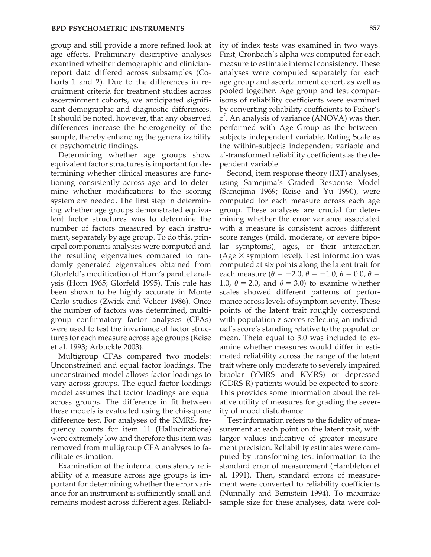group and still provide a more refined look at age effects. Preliminary descriptive analyses examined whether demographic and clinicianreport data differed across subsamples (Cohorts 1 and 2). Due to the differences in recruitment criteria for treatment studies across ascertainment cohorts, we anticipated significant demographic and diagnostic differences. It should be noted, however, that any observed differences increase the heterogeneity of the sample, thereby enhancing the generalizability of psychometric findings.

Determining whether age groups show equivalent factor structures is important for determining whether clinical measures are functioning consistently across age and to determine whether modifications to the scoring system are needed. The first step in determining whether age groups demonstrated equivalent factor structures was to determine the number of factors measured by each instrument, separately by age group. To do this, principal components analyses were computed and the resulting eigenvalues compared to randomly generated eigenvalues obtained from Glorfeld's modification of Horn's parallel analysis (Horn 1965; Glorfeld 1995). This rule has been shown to be highly accurate in Monte Carlo studies (Zwick and Velicer 1986). Once the number of factors was determined, multigroup confirmatory factor analyses (CFAs) were used to test the invariance of factor structures for each measure across age groups (Reise et al. 1993; Arbuckle 2003).

Multigroup CFAs compared two models: Unconstrained and equal factor loadings. The unconstrained model allows factor loadings to vary across groups. The equal factor loadings model assumes that factor loadings are equal across groups. The difference in fit between these models is evaluated using the chi-square difference test. For analyses of the KMRS, frequency counts for item 11 (Hallucinations) were extremely low and therefore this item was removed from multigroup CFA analyses to facilitate estimation.

Examination of the internal consistency reliability of a measure across age groups is important for determining whether the error variance for an instrument is sufficiently small and remains modest across different ages. Reliability of index tests was examined in two ways. First, Cronbach's alpha was computed for each measure to estimate internal consistency. These analyses were computed separately for each age group and ascertainment cohort, as well as pooled together. Age group and test comparisons of reliability coefficients were examined by converting reliability coefficients to Fisher's *z*. An analysis of variance (ANOVA) was then performed with Age Group as the betweensubjects independent variable, Rating Scale as the within-subjects independent variable and *z*-transformed reliability coefficients as the dependent variable.

Second, item response theory (IRT) analyses, using Samejima's Graded Response Model (Samejima 1969; Reise and Yu 1990), were computed for each measure across each age group. These analyses are crucial for determining whether the error variance associated with a measure is consistent across different score ranges (mild, moderate, or severe bipolar symptoms), ages, or their interaction (Age  $\times$  symptom level). Test information was computed at six points along the latent trait for each measure ( $\theta = -2.0$ ,  $\theta = -1.0$ ,  $\theta = 0.0$ ,  $\theta =$ 1.0,  $\theta = 2.0$ , and  $\theta = 3.0$ ) to examine whether scales showed different patterns of performance across levels of symptom severity. These points of the latent trait roughly correspond with population z-scores reflecting an individual's score's standing relative to the population mean. Theta equal to 3.0 was included to examine whether measures would differ in estimated reliability across the range of the latent trait where only moderate to severely impaired bipolar (YMRS and KMRS) or depressed (CDRS-R) patients would be expected to score. This provides some information about the relative utility of measures for grading the severity of mood disturbance.

Test information refers to the fidelity of measurement at each point on the latent trait, with larger values indicative of greater measurement precision. Reliability estimates were computed by transforming test information to the standard error of measurement (Hambleton et al. 1991). Then, standard errors of measurement were converted to reliability coefficients (Nunnally and Bernstein 1994). To maximize sample size for these analyses, data were col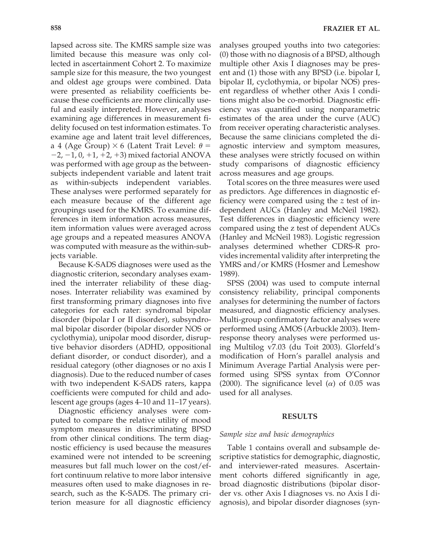lapsed across site. The KMRS sample size was limited because this measure was only collected in ascertainment Cohort 2. To maximize sample size for this measure, the two youngest and oldest age groups were combined. Data were presented as reliability coefficients because these coefficients are more clinically useful and easily interpreted. However, analyses examining age differences in measurement fidelity focused on test information estimates. To examine age and latent trait level differences, a 4 (Age Group)  $\times$  6 (Latent Trait Level:  $\theta$  =  $-2$ ,  $-1$ , 0,  $+1$ ,  $+2$ ,  $+3$ ) mixed factorial ANOVA was performed with age group as the betweensubjects independent variable and latent trait as within-subjects independent variables. These analyses were performed separately for each measure because of the different age groupings used for the KMRS. To examine differences in item information across measures, item information values were averaged across age groups and a repeated measures ANOVA was computed with measure as the within-subjects variable.

Because K-SADS diagnoses were used as the diagnostic criterion, secondary analyses examined the interrater reliability of these diagnoses. Interrater reliability was examined by first transforming primary diagnoses into five categories for each rater: syndromal bipolar disorder (bipolar I or II disorder), subsyndromal bipolar disorder (bipolar disorder NOS or cyclothymia), unipolar mood disorder, disruptive behavior disorders (ADHD, oppositional defiant disorder, or conduct disorder), and a residual category (other diagnoses or no axis I diagnosis). Due to the reduced number of cases with two independent K-SADS raters, kappa coefficients were computed for child and adolescent age groups (ages 4–10 and 11–17 years).

Diagnostic efficiency analyses were computed to compare the relative utility of mood symptom measures in discriminating BPSD from other clinical conditions. The term diagnostic efficiency is used because the measures examined were not intended to be screening measures but fall much lower on the cost/effort continuum relative to more labor intensive measures often used to make diagnoses in research, such as the K-SADS. The primary criterion measure for all diagnostic efficiency

analyses grouped youths into two categories: (0) those with no diagnosis of a BPSD, although multiple other Axis I diagnoses may be present and (1) those with any BPSD (i.e. bipolar I, bipolar II, cyclothymia, or bipolar NOS) present regardless of whether other Axis I conditions might also be co-morbid. Diagnostic efficiency was quantified using nonparametric estimates of the area under the curve (AUC) from receiver operating characteristic analyses. Because the same clinicians completed the diagnostic interview and symptom measures, these analyses were strictly focused on within study comparisons of diagnostic efficiency across measures and age groups.

Total scores on the three measures were used as predictors. Age differences in diagnostic efficiency were compared using the *z* test of independent AUCs (Hanley and McNeil 1982). Test differences in diagnostic efficiency were compared using the z test of dependent AUCs (Hanley and McNeil 1983). Logistic regression analyses determined whether CDRS-R provides incremental validity after interpreting the YMRS and/or KMRS (Hosmer and Lemeshow 1989).

SPSS (2004) was used to compute internal consistency reliability, principal components analyses for determining the number of factors measured, and diagnostic efficiency analyses. Multi-group confirmatory factor analyses were performed using AMOS (Arbuckle 2003). Itemresponse theory analyses were performed using Multilog v7.03 (du Toit 2003). Glorfeld's modification of Horn's parallel analysis and Minimum Average Partial Analysis were performed using SPSS syntax from O'Connor (2000). The significance level ( $\alpha$ ) of 0.05 was used for all analyses.

#### **RESULTS**

#### *Sample size and basic demographics*

Table 1 contains overall and subsample descriptive statistics for demographic, diagnostic, and interviewer-rated measures. Ascertainment cohorts differed significantly in age, broad diagnostic distributions (bipolar disorder vs. other Axis I diagnoses vs. no Axis I diagnosis), and bipolar disorder diagnoses (syn-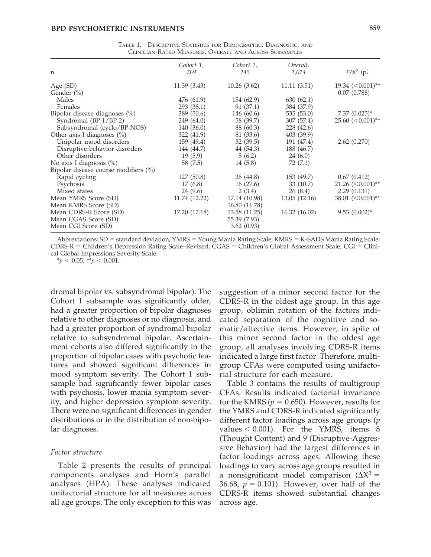| n                                    | Cohort 1,<br>769 | Cohort 2,<br>245 | Overall,<br>1,014 | $F/X^2$ (p)                     |
|--------------------------------------|------------------|------------------|-------------------|---------------------------------|
| Age (SD)                             | 11.39(3.43)      | 10.26(3.62)      | 11.11(3.51)       | $19.34$ (<0.001) <sup>**</sup>  |
| Gender $(\% )$                       |                  |                  |                   | 0.07(0.788)                     |
| Males                                | 476 (61.9)       | 154 (62.9)       | 630(62.1)         |                                 |
| Females                              | 293 (38.1)       | 91 (37.1)        | 384 (37.9)        |                                 |
| Bipolar disease diagnoses (%)        | 389 (50.6)       | 146 (60.6)       | 535 (53.0)        | $7.37(0.025)^*$                 |
| Syndromal (BP-1/BP-2)                | 249 (64.0)       | 58 (39.7)        | 307 (57.4)        | $25.60$ $(<0.001$ <sup>**</sup> |
| Subsyndromal (cyclo/BP-NOS)          | 140 (36.0)       | 88 (60.3)        | 228 (42.6)        |                                 |
| Other axis I diagnoses $(\%)$        | 322 (41.9)       | 81 (33.6)        | 403 (39.9)        |                                 |
| Unipolar mood disorders              | 159 (49.4)       | 32(39.5)         | 191 (47.4)        | 2.62(0.270)                     |
| Disruptive behavior disorders        | 144 (44.7)       | 44 (54.3)        | 188 (46.7)        |                                 |
| Other disorders                      | 19(5.9)          | 5(6.2)           | 24(6.0)           |                                 |
| No axis I diagnosis (%)              | 58 (7.5)         | 14(5.8)          | 72 $(7.1)$        |                                 |
| Bipolar disease course modifiers (%) |                  |                  |                   |                                 |
| Rapid cycling                        | 127 (50.8)       | 26 (44.8)        | 153 (49.7)        | 0.67(0.412)                     |
| Psychosis                            | 17(6.8)          | 16(27.6)         | 33 (10.7)         | $21.26$ (<0.001)**              |
| Mixed states                         | 24(9.6)          | 2(3.4)           | 26(8.4)           | 2.29(0.131)                     |
| Mean YMRS Score (SD)                 | 11.74 (12.22)    | 17.14 (10.98)    | 13.05 (12.16)     | 38.01 $(<0.001)$ <sup>**</sup>  |
| Mean KMRS Score (SD)                 |                  | 16.80 (11.78)    |                   |                                 |
| Mean CDRS-R Score (SD)               | 17.20 (17.18)    | 13.58 (11.25)    | 16.32 (16.02)     | $9.53(0.002)^{*}$               |
| Mean CGAS Score (SD)                 |                  | 55.39 (7.93)     |                   |                                 |
| Mean CGI Score (SD)                  |                  | 3.62(0.93)       |                   |                                 |
|                                      |                  |                  |                   |                                 |

TABLE 1. DESCRIPTIVE STATISTICS FOR DEMOGRAPHIC, DIAGNOSTIC, AND CLINICIAN-RATED MEASURES, OVERALL AND ACROSS SUBSAMPLES

Abbreviations: SD = standard deviation; YMRS = Young Mania Rating Scale; KMRS = K-SADS Mania Rating Scale; CDRS-R = Children's Depression Rating Scale–Revised; CGAS = Children's Global Assessment Scale; CGI = Clinical Global Impressions Severity Scale.

 $*_{p}$  < 0.05; \*\**p* < 0.001.

dromal bipolar vs. subsyndromal bipolar). The Cohort 1 subsample was significantly older, had a greater proportion of bipolar diagnoses relative to other diagnoses or no diagnosis, and had a greater proportion of syndromal bipolar relative to subsyndromal bipolar. Ascertainment cohorts also differed significantly in the proportion of bipolar cases with psychotic features and showed significant differences in mood symptom severity. The Cohort 1 subsample had significantly fewer bipolar cases with psychosis, lower mania symptom severity, and higher depression symptom severity. There were no significant differences in gender distributions or in the distribution of non-bipolar diagnoses.

#### *Factor structure*

Table 2 presents the results of principal components analyses and Horn's parallel analyses (HPA). These analyses indicated unifactorial structure for all measures across all age groups. The only exception to this was

suggestion of a minor second factor for the CDRS-R in the oldest age group. In this age group, oblimin rotation of the factors indicated separation of the cognitive and somatic/affective items. However, in spite of this minor second factor in the oldest age group, all analyses involving CDRS-R items indicated a large first factor. Therefore, multigroup CFAs were computed using unifactorial structure for each measure.

Table 3 contains the results of multigroup CFAs. Results indicated factorial invariance for the KMRS ( $p = 0.650$ ). However, results for the YMRS and CDRS-R indicated significantly different factor loadings across age groups (*p* values  $< 0.001$ ). For the YMRS, items 8 (Thought Content) and 9 (Disruptive-Aggressive Behavior) had the largest differences in factor loadings across ages. Allowing these loadings to vary across age groups resulted in a nonsignificant model comparison ( $\Delta X^2$  = 36.68,  $p = 0.101$ ). However, over half of the CDRS-R items showed substantial changes across age.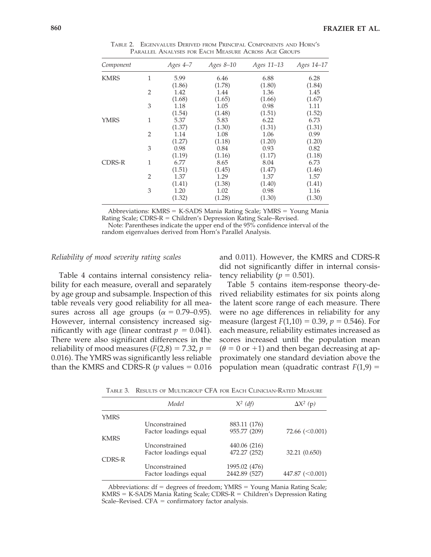| Component     |   | Ages $4-7$ | Ages 8-10 | Ages $11-13$ | Ages 14–17 |
|---------------|---|------------|-----------|--------------|------------|
| <b>KMRS</b>   | 1 | 5.99       | 6.46      | 6.88         | 6.28       |
|               |   | (1.86)     | (1.78)    | (1.80)       | (1.84)     |
|               | 2 | 1.42       | 1.44      | 1.36         | 1.45       |
|               |   | (1.68)     | (1.65)    | (1.66)       | (1.67)     |
|               | 3 | 1.18       | 1.05      | 0.98         | 1.11       |
|               |   | (1.54)     | (1.48)    | (1.51)       | (1.52)     |
| <b>YMRS</b>   | 1 | 5.37       | 5.83      | 6.22         | 6.73       |
|               |   | (1.37)     | (1.30)    | (1.31)       | (1.31)     |
|               | 2 | 1.14       | 1.08      | 1.06         | 0.99       |
|               |   | (1.27)     | (1.18)    | (1.20)       | (1.20)     |
|               | 3 | 0.98       | 0.84      | 0.93         | 0.82       |
|               |   | (1.19)     | (1.16)    | (1.17)       | (1.18)     |
| <b>CDRS-R</b> | 1 | 6.77       | 8.65      | 8.04         | 6.73       |
|               |   | (1.51)     | (1.45)    | (1.47)       | (1.46)     |
|               | 2 | 1.37       | 1.29      | 1.37         | 1.57       |
|               |   | (1.41)     | (1.38)    | (1.40)       | (1.41)     |
|               | 3 | 1.20       | 1.02      | 0.98         | 1.16       |
|               |   | (1.32)     | (1.28)    | (1.30)       | (1.30)     |

TABLE 2. EIGENVALUES DERIVED FROM PRINCIPAL COMPONENTS AND HORN'S PARALLEL ANALYSES FOR EACH MEASURE ACROSS AGE GROUPS

Abbreviations: KMRS = K-SADS Mania Rating Scale; YMRS = Young Mania Rating Scale; CDRS-R = Children's Depression Rating Scale–Revised. Note: Parentheses indicate the upper end of the 95% confidence interval of the

random eigenvalues derived from Horn's Parallel Analysis.

# *Reliability of mood severity rating scales*

Table 4 contains internal consistency reliability for each measure, overall and separately by age group and subsample. Inspection of this table reveals very good reliability for all measures across all age groups ( $\alpha = 0.79{\text -}0.95$ ). However, internal consistency increased significantly with age (linear contrast  $p = 0.041$ ). There were also significant differences in the reliability of mood measures  $(F(2,8) = 7.32, p =$ 0.016). The YMRS was significantly less reliable than the KMRS and CDRS-R  $(p$  values  $= 0.016$ 

and 0.011). However, the KMRS and CDRS-R did not significantly differ in internal consistency reliability ( $p = 0.501$ ).

Table 5 contains item-response theory-derived reliability estimates for six points along the latent score range of each measure. There were no age differences in reliability for any measure (largest  $F(1,10) = 0.39$ ,  $p = 0.546$ ). For each measure, reliability estimates increased as scores increased until the population mean  $(\theta = 0 \text{ or } +1)$  and then began decreasing at approximately one standard deviation above the population mean (quadratic contrast  $F(1,9) =$ 

| TABLE 3. RESULTS OF MULTIGROUP CFA FOR EACH CLINICIAN-RATED MEASURE |  |
|---------------------------------------------------------------------|--|
|---------------------------------------------------------------------|--|

|        | Model                 | $X^2$ (df)    | $\Delta X^2$ (p)   |
|--------|-----------------------|---------------|--------------------|
| YMRS   |                       |               |                    |
|        | Unconstrained         | 883.11 (176)  |                    |
|        | Factor loadings equal | 955.77 (209)  | 72.66 $(<0.001)$   |
| KMRS   |                       |               |                    |
|        | Unconstrained         | 440.06 (216)  |                    |
|        | Factor loadings equal | 472.27 (252)  | 32.21 (0.650)      |
| CDRS-R |                       |               |                    |
|        | Unconstrained         | 1995.02 (476) |                    |
|        | Factor loadings equal | 2442.89 (527) | 447.87 $(<0.001$ ) |

Abbreviations: df = degrees of freedom; YMRS = Young Mania Rating Scale; KMRS = K-SADS Mania Rating Scale; CDRS-R = Children's Depression Rating Scale–Revised. CFA = confirmatory factor analysis.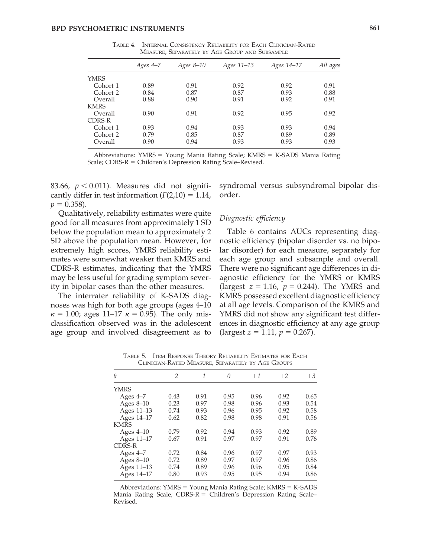|          | Ages $4-7$ | Ages $8-10$ | Ages 11–13 | Ages 14–17 | All ages |
|----------|------------|-------------|------------|------------|----------|
| YMRS     |            |             |            |            |          |
| Cohort 1 | 0.89       | 0.91        | 0.92       | 0.92       | 0.91     |
| Cohort 2 | 0.84       | 0.87        | 0.87       | 0.93       | 0.88     |
| Overall  | 0.88       | 0.90        | 0.91       | 0.92       | 0.91     |
| KMRS     |            |             |            |            |          |
| Overall  | 0.90       | 0.91        | 0.92       | 0.95       | 0.92     |
| CDRS-R   |            |             |            |            |          |
| Cohort 1 | 0.93       | 0.94        | 0.93       | 0.93       | 0.94     |
| Cohort 2 | 0.79       | 0.85        | 0.87       | 0.89       | 0.89     |
| Overall  | 0.90       | 0.94        | 0.93       | 0.93       | 0.93     |

TABLE 4. INTERNAL CONSISTENCY RELIABILITY FOR EACH CLINICIAN-RATED MEASURE, SEPARATELY BY AGE GROUP AND SUBSAMPLE

Abbreviations: YMRS = Young Mania Rating Scale; KMRS = K-SADS Mania Rating Scale; CDRS-R = Children's Depression Rating Scale–Revised.

83.66,  $p < 0.011$ ). Measures did not significantly differ in test information  $(F(2,10) = 1.14)$ ,  $p = 0.358$ ).

Qualitatively, reliability estimates were quite good for all measures from approximately 1 SD below the population mean to approximately 2 SD above the population mean. However, for extremely high scores, YMRS reliability estimates were somewhat weaker than KMRS and CDRS-R estimates, indicating that the YMRS may be less useful for grading symptom severity in bipolar cases than the other measures.

The interrater reliability of K-SADS diagnoses was high for both age groups (ages 4–10  $\kappa = 1.00$ ; ages 11–17  $\kappa = 0.95$ ). The only misclassification observed was in the adolescent age group and involved disagreement as to

syndromal versus subsyndromal bipolar disorder.

#### *Diagnostic efficiency*

Table 6 contains AUCs representing diagnostic efficiency (bipolar disorder vs. no bipolar disorder) for each measure, separately for each age group and subsample and overall. There were no significant age differences in diagnostic efficiency for the YMRS or KMRS (largest  $z = 1.16$ ,  $p = 0.244$ ). The YMRS and KMRS possessed excellent diagnostic efficiency at all age levels. Comparison of the KMRS and YMRS did not show any significant test differences in diagnostic efficiency at any age group  $\text{(largest } z = 1.11, p = 0.267).$ 

TABLE 5. ITEM RESPONSE THEORY RELIABILITY ESTIMATES FOR EACH CLINICIAN-RATED MEASURE, SEPARATELY BY AGE GROUPS

| $\theta$      | $-2$ | $-1$ | 0    | $+1$ | $+2$ | $+3$ |
|---------------|------|------|------|------|------|------|
| <b>YMRS</b>   |      |      |      |      |      |      |
| Ages $4-7$    | 0.43 | 0.91 | 0.95 | 0.96 | 0.92 | 0.65 |
| Ages $8-10$   | 0.23 | 0.97 | 0.98 | 0.96 | 0.93 | 0.54 |
| Ages 11-13    | 0.74 | 0.93 | 0.96 | 0.95 | 0.92 | 0.58 |
| Ages 14-17    | 0.62 | 0.82 | 0.98 | 0.98 | 0.91 | 0.56 |
| <b>KMRS</b>   |      |      |      |      |      |      |
| Ages $4-10$   | 0.79 | 0.92 | 0.94 | 0.93 | 0.92 | 0.89 |
| Ages 11-17    | 0.67 | 0.91 | 0.97 | 0.97 | 0.91 | 0.76 |
| <b>CDRS-R</b> |      |      |      |      |      |      |
| Ages $4-7$    | 0.72 | 0.84 | 0.96 | 0.97 | 0.97 | 0.93 |
| Ages $8-10$   | 0.72 | 0.89 | 0.97 | 0.97 | 0.96 | 0.86 |
| Ages 11-13    | 0.74 | 0.89 | 0.96 | 0.96 | 0.95 | 0.84 |
| Ages 14-17    | 0.80 | 0.93 | 0.95 | 0.95 | 0.94 | 0.86 |
|               |      |      |      |      |      |      |

Abbreviations: YMRS = Young Mania Rating Scale; KMRS = K-SADS Mania Rating Scale; CDRS-R = Children's Depression Rating Scale-Revised.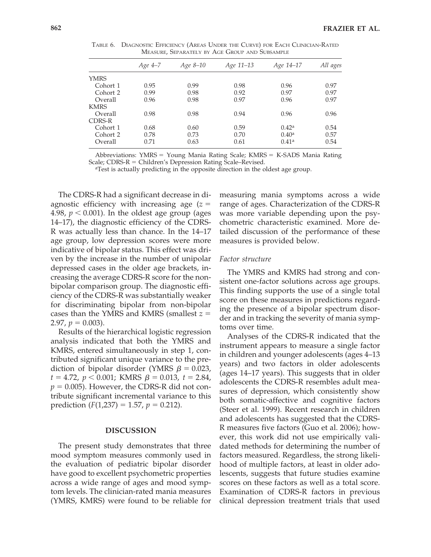|             | Age 4–7 | Age 8–10 | Age 11–13 | Age 14–17         | All ages |
|-------------|---------|----------|-----------|-------------------|----------|
| <b>YMRS</b> |         |          |           |                   |          |
| Cohort 1    | 0.95    | 0.99     | 0.98      | 0.96              | 0.97     |
| Cohort 2    | 0.99    | 0.98     | 0.92      | 0.97              | 0.97     |
| Overall     | 0.96    | 0.98     | 0.97      | 0.96              | 0.97     |
| <b>KMRS</b> |         |          |           |                   |          |
| Overall     | 0.98    | 0.98     | 0.94      | 0.96              | 0.96     |
| CDRS-R      |         |          |           |                   |          |
| Cohort 1    | 0.68    | 0.60     | 0.59      | 0.42 <sup>a</sup> | 0.54     |
| Cohort 2    | 0.78    | 0.73     | 0.70      | 0.40 <sup>a</sup> | 0.57     |
| Overall     | 0.71    | 0.63     | 0.61      | 0.41 <sup>a</sup> | 0.54     |
|             |         |          |           |                   |          |

TABLE 6. DIAGNOSTIC EFFICIENCY (AREAS UNDER THE CURVE) FOR EACH CLINICIAN-RATED MEASURE, SEPARATELY BY AGE GROUP AND SUBSAMPLE

Abbreviations: YMRS = Young Mania Rating Scale; KMRS = K-SADS Mania Rating Scale; CDRS-R = Children's Depression Rating Scale–Revised.

<sup>a</sup>Test is actually predicting in the opposite direction in the oldest age group.

The CDRS-R had a significant decrease in diagnostic efficiency with increasing age  $(z =$ 4.98,  $p < 0.001$ ). In the oldest age group (ages 14–17), the diagnostic efficiency of the CDRS-R was actually less than chance. In the 14–17 age group, low depression scores were more indicative of bipolar status. This effect was driven by the increase in the number of unipolar depressed cases in the older age brackets, increasing the average CDRS-R score for the nonbipolar comparison group. The diagnostic efficiency of the CDRS-R was substantially weaker for discriminating bipolar from non-bipolar cases than the YMRS and KMRS (smallest  $z =$  $2.97, p = 0.003$ ).

Results of the hierarchical logistic regression analysis indicated that both the YMRS and KMRS, entered simultaneously in step 1, contributed significant unique variance to the prediction of bipolar disorder (YMRS  $\beta$  = 0.023,  $t = 4.72, p < 0.001$ ; KMRS  $\beta = 0.013, t = 2.84$ ,  $p = 0.005$ ). However, the CDRS-R did not contribute significant incremental variance to this prediction  $(F(1,237) = 1.57, p = 0.212)$ .

#### **DISCUSSION**

The present study demonstrates that three mood symptom measures commonly used in the evaluation of pediatric bipolar disorder have good to excellent psychometric properties across a wide range of ages and mood symptom levels. The clinician-rated mania measures (YMRS, KMRS) were found to be reliable for measuring mania symptoms across a wide range of ages. Characterization of the CDRS-R was more variable depending upon the psychometric characteristic examined. More detailed discussion of the performance of these measures is provided below.

#### *Factor structure*

The YMRS and KMRS had strong and consistent one-factor solutions across age groups. This finding supports the use of a single total score on these measures in predictions regarding the presence of a bipolar spectrum disorder and in tracking the severity of mania symptoms over time.

Analyses of the CDRS-R indicated that the instrument appears to measure a single factor in children and younger adolescents (ages 4–13 years) and two factors in older adolescents (ages 14–17 years). This suggests that in older adolescents the CDRS-R resembles adult measures of depression, which consistently show both somatic-affective and cognitive factors (Steer et al. 1999). Recent research in children and adolescents has suggested that the CDRS-R measures five factors (Guo et al. 2006); however, this work did not use empirically validated methods for determining the number of factors measured. Regardless, the strong likelihood of multiple factors, at least in older adolescents, suggests that future studies examine scores on these factors as well as a total score. Examination of CDRS-R factors in previous clinical depression treatment trials that used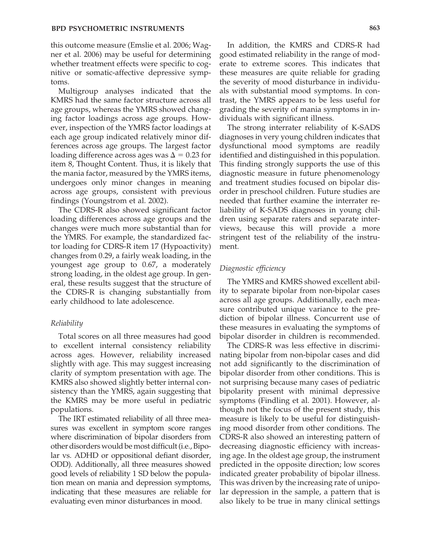this outcome measure (Emslie et al. 2006; Wagner et al. 2006) may be useful for determining whether treatment effects were specific to cognitive or somatic-affective depressive symptoms.

Multigroup analyses indicated that the KMRS had the same factor structure across all age groups, whereas the YMRS showed changing factor loadings across age groups. However, inspection of the YMRS factor loadings at each age group indicated relatively minor differences across age groups. The largest factor loading difference across ages was  $\Delta=0.23$  for item 8, Thought Content. Thus, it is likely that the mania factor, measured by the YMRS items, undergoes only minor changes in meaning across age groups, consistent with previous findings (Youngstrom et al. 2002).

The CDRS-R also showed significant factor loading differences across age groups and the changes were much more substantial than for the YMRS. For example, the standardized factor loading for CDRS-R item 17 (Hypoactivity) changes from 0.29, a fairly weak loading, in the youngest age group to 0.67, a moderately strong loading, in the oldest age group. In general, these results suggest that the structure of the CDRS-R is changing substantially from early childhood to late adolescence.

## *Reliability*

Total scores on all three measures had good to excellent internal consistency reliability across ages. However, reliability increased slightly with age. This may suggest increasing clarity of symptom presentation with age. The KMRS also showed slightly better internal consistency than the YMRS, again suggesting that the KMRS may be more useful in pediatric populations.

The IRT estimated reliability of all three measures was excellent in symptom score ranges where discrimination of bipolar disorders from other disorders would be most difficult (i.e., Bipolar vs. ADHD or oppositional defiant disorder, ODD). Additionally, all three measures showed good levels of reliability 1 SD below the population mean on mania and depression symptoms, indicating that these measures are reliable for evaluating even minor disturbances in mood.

In addition, the KMRS and CDRS-R had good estimated reliability in the range of moderate to extreme scores. This indicates that these measures are quite reliable for grading the severity of mood disturbance in individuals with substantial mood symptoms. In contrast, the YMRS appears to be less useful for grading the severity of mania symptoms in individuals with significant illness.

The strong interrater reliability of K-SADS diagnoses in very young children indicates that dysfunctional mood symptoms are readily identified and distinguished in this population. This finding strongly supports the use of this diagnostic measure in future phenomenology and treatment studies focused on bipolar disorder in preschool children. Future studies are needed that further examine the interrater reliability of K-SADS diagnoses in young children using separate raters and separate interviews, because this will provide a more stringent test of the reliability of the instrument.

## *Diagnostic efficiency*

The YMRS and KMRS showed excellent ability to separate bipolar from non-bipolar cases across all age groups. Additionally, each measure contributed unique variance to the prediction of bipolar illness. Concurrent use of these measures in evaluating the symptoms of bipolar disorder in children is recommended.

The CDRS-R was less effective in discriminating bipolar from non-bipolar cases and did not add significantly to the discrimination of bipolar disorder from other conditions. This is not surprising because many cases of pediatric bipolarity present with minimal depressive symptoms (Findling et al. 2001). However, although not the focus of the present study, this measure is likely to be useful for distinguishing mood disorder from other conditions. The CDRS-R also showed an interesting pattern of decreasing diagnostic efficiency with increasing age. In the oldest age group, the instrument predicted in the opposite direction; low scores indicated greater probability of bipolar illness. This was driven by the increasing rate of unipolar depression in the sample, a pattern that is also likely to be true in many clinical settings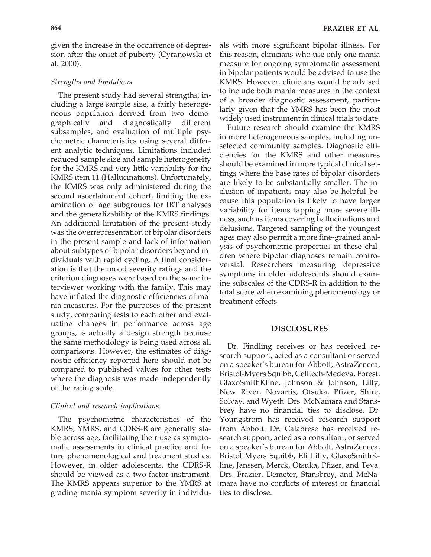given the increase in the occurrence of depression after the onset of puberty (Cyranowski et al. 2000).

# *Strengths and limitations*

The present study had several strengths, including a large sample size, a fairly heterogeneous population derived from two demographically and diagnostically different subsamples, and evaluation of multiple psychometric characteristics using several different analytic techniques. Limitations included reduced sample size and sample heterogeneity for the KMRS and very little variability for the KMRS item 11 (Hallucinations). Unfortunately, the KMRS was only administered during the second ascertainment cohort, limiting the examination of age subgroups for IRT analyses and the generalizability of the KMRS findings. An additional limitation of the present study was the overrepresentation of bipolar disorders in the present sample and lack of information about subtypes of bipolar disorders beyond individuals with rapid cycling. A final consideration is that the mood severity ratings and the criterion diagnoses were based on the same interviewer working with the family. This may have inflated the diagnostic efficiencies of mania measures. For the purposes of the present study, comparing tests to each other and evaluating changes in performance across age groups, is actually a design strength because the same methodology is being used across all comparisons. However, the estimates of diagnostic efficiency reported here should not be compared to published values for other tests where the diagnosis was made independently of the rating scale.

## *Clinical and research implications*

The psychometric characteristics of the KMRS, YMRS, and CDRS-R are generally stable across age, facilitating their use as symptomatic assessments in clinical practice and future phenomenological and treatment studies. However, in older adolescents, the CDRS-R should be viewed as a two-factor instrument. The KMRS appears superior to the YMRS at grading mania symptom severity in individuals with more significant bipolar illness. For this reason, clinicians who use only one mania measure for ongoing symptomatic assessment in bipolar patients would be advised to use the KMRS. However, clinicians would be advised to include both mania measures in the context of a broader diagnostic assessment, particularly given that the YMRS has been the most widely used instrument in clinical trials to date.

Future research should examine the KMRS in more heterogeneous samples, including unselected community samples. Diagnostic efficiencies for the KMRS and other measures should be examined in more typical clinical settings where the base rates of bipolar disorders are likely to be substantially smaller. The inclusion of inpatients may also be helpful because this population is likely to have larger variability for items tapping more severe illness, such as items covering hallucinations and delusions. Targeted sampling of the youngest ages may also permit a more fine-grained analysis of psychometric properties in these children where bipolar diagnoses remain controversial. Researchers measuring depressive symptoms in older adolescents should examine subscales of the CDRS-R in addition to the total score when examining phenomenology or treatment effects.

## **DISCLOSURES**

Dr. Findling receives or has received research support, acted as a consultant or served on a speaker's bureau for Abbott, AstraZeneca, Bristol-Myers Squibb, Celltech-Medeva, Forest, GlaxoSmithKline, Johnson & Johnson, Lilly, New River, Novartis, Otsuka, Pfizer, Shire, Solvay, and Wyeth. Drs. McNamara and Stansbrey have no financial ties to disclose. Dr. Youngstrom has received research support from Abbott. Dr. Calabrese has received research support, acted as a consultant, or served on a speaker's bureau for Abbott, AstraZeneca, Bristol Myers Squibb, Eli Lilly, GlaxoSmithKline, Janssen, Merck, Otsuka, Pfizer, and Teva. Drs. Frazier, Demeter, Stansbrey, and McNamara have no conflicts of interest or financial ties to disclose.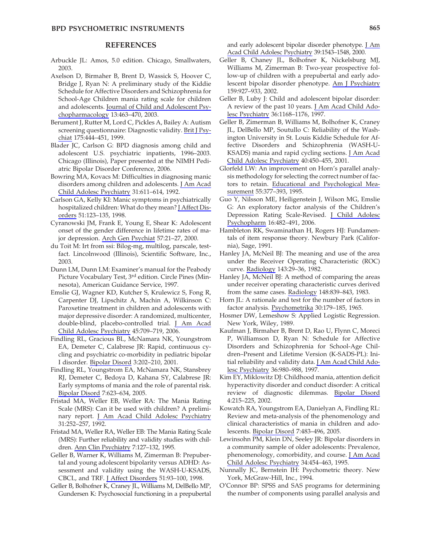## **REFERENCES**

- Arbuckle JL: Amos, 5.0 edition. Chicago, Smallwaters, 2003.
- Axelson D, Birmaher B, Brent D, Wassick S, Hoover C, Bridge J, Ryan N: A preliminary study of the Kiddie Schedule for Affective Disorders and Schizophrenia for School-Age Children mania rating scale for children and adolescents. Journal of Child and Adolescent Psychopharmacology 13:463–470, 2003.
- Berument J, Rutter M, Lord C, Pickles A, Bailey A: Autism screening questionnaire: Diagnostic validity. Brit J Psychiat 175:444–451, 1999.
- Blader JC, Carlson G: BPD diagnosis among child and adolescent U.S. psychiatric inpatients, 1996–2003. Chicago (Illinois), Paper presented at the NIMH Pediatric Bipolar Disorder Conference, 2006.
- Bowring MA, Kovacs M: Difficulties in diagnosing manic disorders among children and adolescents. J Am Acad Child Adolesc Psychiatry 31:611–614, 1992.
- Carlson GA, Kelly KI: Manic symptoms in psychiatrically hospitalized children: What do they mean? J Affect Disorders 51:123–135, 1998.
- Cyranowski JM, Frank E, Young E, Shear K: Adolescent onset of the gender difference in lifetime rates of major depression. Arch Gen Psychiat 57:21–27, 2000.
- du Toit M: Irt from ssi: Bilog-mg, multilog, parscale, testfact. Lincolnwood (Illinois), Scientific Software, Inc., 2003.
- Dunn LM, Dunn LM: Examiner's manual for the Peabody Picture Vocabulary Test, 3rd edition. Circle Pines (Minnesota), American Guidance Service, 1997.
- Emslie GJ, Wagner KD, Kutcher S, Krulewicz S, Fong R, Carpenter DJ, Lipschitz A, Machin A, Wilkinson C: Paroxetine treatment in children and adolescents with major depressive disorder: A randomized, multicenter, double-blind, placebo-controlled trial. J Am Acad Child Adolesc Psychiatry 45:709–719, 2006.
- Findling RL, Gracious BL, McNamara NK, Youngstrom EA, Demeter C, Calabrese JR: Rapid, continuous cycling and psychiatric co-morbidity in pediatric bipolar I disorder. Bipolar Disord 3:202–210, 2001.
- Findling RL, Youngstrom EA, McNamara NK, Stansbrey RJ, Demeter C, Bedoya D, Kahana SY, Calabrese JR: Early symptoms of mania and the role of parental risk. Bipolar Disord 7:623–634, 2005.
- Fristad MA, Weller EB, Weller RA: The Mania Rating Scale (MRS): Can it be used with children? A preliminary report. J Am Acad Child Adolesc Psychiatry 31:252–257, 1992.
- Fristad MA, Weller RA, Weller EB: The Mania Rating Scale (MRS): Further reliability and validity studies with children. Ann Clin Psychiatry 7:127–132, 1995.
- Geller B, Warner K, Williams M, Zimerman B: Prepubertal and young adolescent bipolarity versus ADHD: Assessment and validity using the WASH-U-KSADS, CBCL, and TRF. J Affect Disorders 51:93–100, 1998.
- Geller B, Bolhofner K, Craney JL, Williams M, DelBello MP, Gundersen K: Psychosocial functioning in a prepubertal

and early adolescent bipolar disorder phenotype. J Am Acad Child Adolesc Psychiatry 39:1543–1548, 2000.

- Geller B, Chaney JL, Bolhofner K, Nickelsburg MJ, Williams M, Zimerman B: Two-year prospective follow-up of children with a prepubertal and early adolescent bipolar disorder phenotype. Am J Psychiatry 159:927–933, 2002.
- Geller B, Luby J: Child and adolescent bipolar disorder: A review of the past 10 years. J Am Acad Child Adolesc Psychiatry 36:1168–1176, 1997.
- Geller B, Zimerman B, Williams M, Bolhofner K, Craney JL, DelBello MP, Soutullo C: Reliability of the Washington University in St. Louis Kiddie Schedule for Affective Disorders and Schizophrenia (WASH-U-KSADS) mania and rapid cycling sections. J Am Acad Child Adolesc Psychiatry 40:450–455, 2001.
- Glorfeld LW: An improvement on Horn's parallel analysis methodology for selecting the correct number of factors to retain. Educational and Psychological Measurement 55:377–393, 1995.
- Guo Y, Nilsson ME, Heiligenstein J, Wilson MG, Emslie G: An exploratory factor analysis of the Children's Depression Rating Scale-Revised. J Child Adolesc Psychopharm 16:482–491, 2006.
- Hambleton RK, Swaminathan H, Rogers HJ: Fundamentals of item response theory. Newbury Park (California), Sage, 1991.
- Hanley JA, McNeil BJ: The meaning and use of the area under the Receiver Operating Characteristic (ROC) curve. Radiology 143:29–36, 1982.
- Hanley JA, McNeil BJ: A method of comparing the areas under receiver operating characteristic curves derived from the same cases. Radiology 148:839–843, 1983.
- Horn JL: A rationale and test for the number of factors in factor analysis. Psychometrika 30:179–185, 1965.
- Hosmer DW, Lemeshow S: Applied Logistic Regression. New York, Wiley, 1989.
- Kaufman J, Birmaher B, Brent D, Rao U, Flynn C, Moreci P, Williamson D, Ryan N: Schedule for Affective Disorders and Schizophrenia for School-Age Children–Present and Lifetime Version (K-SADS-PL): Initial reliability and validity data. J Am Acad Child Adolesc Psychiatry 36:980–988, 1997.
- Kim EY, Miklowitz DJ: Childhood mania, attention deficit hyperactivity disorder and conduct disorder: A critical review of diagnostic dilemmas. Bipolar Disord 4:215–225, 2002.
- Kowatch RA, Youngstrom EA, Danielyan A, Findling RL: Review and meta-analysis of the phenomenology and clinical characteristics of mania in children and adolescents. Bipolar Disord 7:483–496, 2005.
- Lewinsohn PM, Klein DN, Seeley JR: Bipolar disorders in a community sample of older adolescents: Prevalence, phenomenology, comorbidity, and course. J Am Acad Child Adolesc Psychiatry 34:454–463, 1995.
- Nunnally JC, Bernstein IH: Psychometric theory. New York, McGraw-Hill, Inc., 1994.
- O'Connor BP: SPSS and SAS programs for determining the number of components using parallel analysis and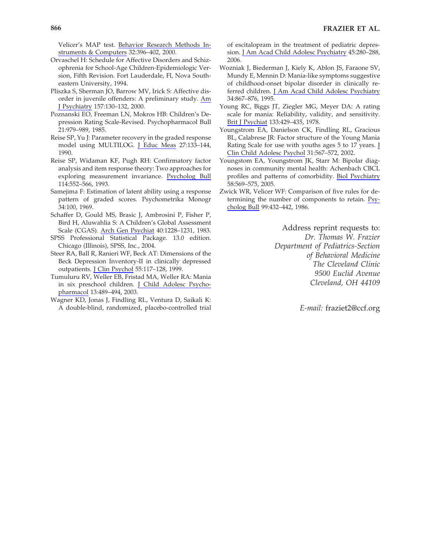Velicer's MAP test. Behavior Research Methods Instruments & Computers 32:396–402, 2000.

- Orvaschel H: Schedule for Affective Disorders and Schizophrenia for School-Age Children-Epidemiologic Version, Fifth Revision. Fort Lauderdale, Fl, Nova Southeastern University, 1994.
- Pliszka S, Sherman JO, Barrow MV, Irick S: Affective disorder in juvenile offenders: A preliminary study. Am J Psychiatry 157:130–132, 2000.
- Poznanski EO, Freeman LN, Mokros HB: Children's Depression Rating Scale-Revised. Psychopharmacol Bull 21:979–989, 1985.
- Reise SP, Yu J: Parameter recovery in the graded response model using MULTILOG. J Educ Meas 27:133–144, 1990.
- Reise SP, Widaman KF, Pugh RH: Confirmatory factor analysis and item response theory: Two approaches for exploring measurement invariance. Psycholog Bull 114:552–566, 1993.
- Samejima F: Estimation of latent ability using a response pattern of graded scores. Psychometrika Monogr 34:100, 1969.
- Schaffer D, Gould MS, Brasic J, Ambrosini P, Fisher P, Bird H, Aluwahlia S: A Children's Global Assessment Scale (CGAS). Arch Gen Psychiat 40:1228–1231, 1983.
- SPSS Professional Statistical Package. 13.0 edition. Chicago (Illinois), SPSS, Inc., 2004.
- Steer RA, Ball R, Ranieri WF, Beck AT: Dimensions of the Beck Depression Inventory-II in clinically depressed outpatients. J Clin Psychol 55:117–128, 1999.
- Tumuluru RV, Weller EB, Fristad MA, Weller RA: Mania in six preschool children. J Child Adolesc Psychopharmacol 13:489–494, 2003.
- Wagner KD, Jonas J, Findling RL, Ventura D, Saikali K: A double-blind, randomized, placebo-controlled trial

of escitalopram in the treatment of pediatric depression. J Am Acad Child Adolesc Psychiatry 45:280–288, 2006.

- Wozniak J, Biederman J, Kiely K, Ablon JS, Faraone SV, Mundy E, Mennin D: Mania-like symptoms suggestive of childhood-onset bipolar disorder in clinically referred children. J Am Acad Child Adolesc Psychiatry 34:867–876, 1995.
- Young RC, Biggs JT, Ziegler MG, Meyer DA: A rating scale for mania: Reliability, validity, and sensitivity. Brit J Psychiat 133:429–435, 1978.
- Youngstrom EA, Danielson CK, Findling RL, Gracious BL, Calabrese JR: Factor structure of the Young Mania Rating Scale for use with youths ages 5 to 17 years. J Clin Child Adolesc Psychol 31:567–572, 2002.
- Youngstom EA, Youngstrom JK, Starr M: Bipolar diagnoses in community mental health: Achenbach CBCL profiles and patterns of comorbidity. Biol Psychiatry 58:569–575, 2005.
- Zwick WR, Velicer WF: Comparison of five rules for determining the number of components to retain. Psycholog Bull 99:432–442, 1986.

Address reprint requests to: *Dr. Thomas W. Frazier Department of Pediatrics-Section of Behavioral Medicine The Cleveland Clinic 9500 Euclid Avenue Cleveland, OH 44109*

*E-mail:* fraziet2@ccf.org